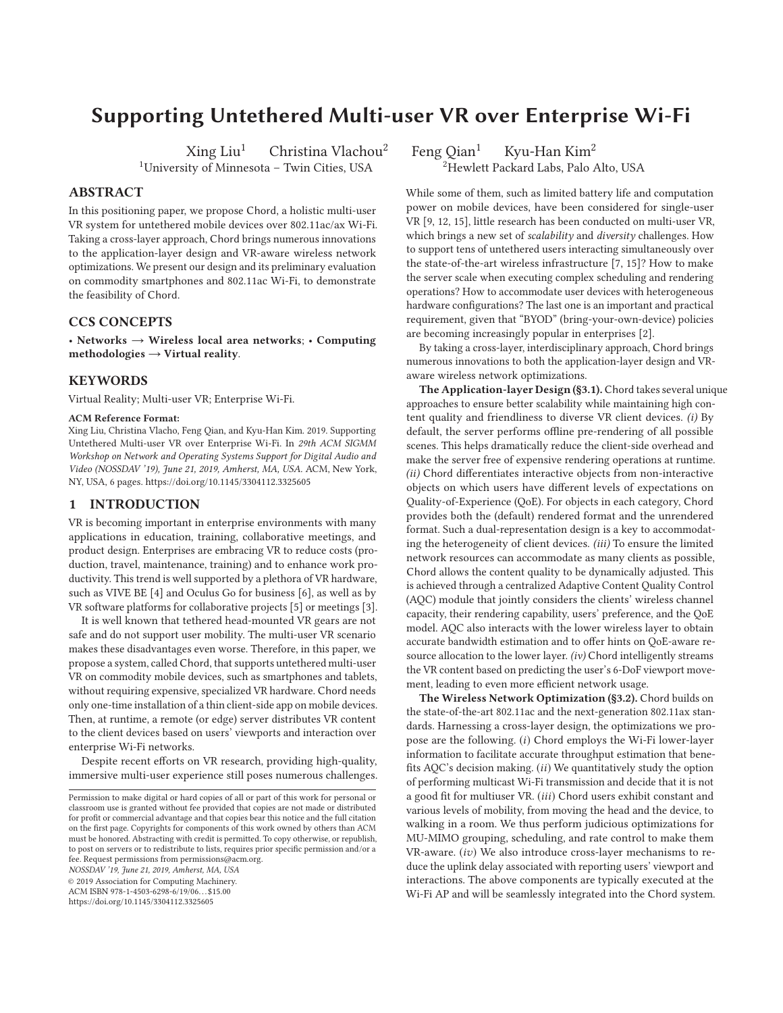# **Supporting Untethered Multi-user VR over Enterprise Wi-Fi**

 $Xing Liu<sup>1</sup>$  Christina Vlachou<sup>2</sup> Feng Qian<sup>1</sup> Kyu-Han Kim<sup>2</sup>

# **ABSTRACT**

In this positioning paper, we propose Chord, a holistic multi-user VR system for untethered mobile devices over 802.11ac/ax Wi-Fi. Taking a cross-layer approach, Chord brings numerous innovations to the application-layer design and VR-aware wireless network optimizations. We present our design and its preliminary evaluation on commodity smartphones and 802.11ac Wi-Fi, to demonstrate the feasibility of Chord.

# **CCS CONCEPTS**

• **Networks** → **Wireless local area networks**; • **Computing methodologies** → **Virtual reality**.

### **KEYWORDS**

Virtual Reality; Multi-user VR; Enterprise Wi-Fi.

#### **ACM Reference Format:**

Xing Liu, Christina Vlacho, Feng Qian, and Kyu-Han Kim. 2019. Supporting Untethered Multi-user VR over Enterprise Wi-Fi. In *29th ACM SIGMM Workshop on Network and Operating Systems Support for Digital Audio and Video (NOSSDAV '19), June 21, 2019, Amherst, MA, USA.* ACM, New York, NY, USA, 6 pages. https://doi.org/10.1145/3304112.3325605

#### **1 INTRODUCTION**

VR is becoming important in enterprise environments with many applications in education, training, collaborative meetings, and product design. Enterprises are embracing VR to reduce costs (production, travel, maintenance, training) and to enhance work productivity. This trend is well supported by a plethora of VR hardware, such as VIVE BE [4] and Oculus Go for business [6], as well as by VR software platforms for collaborative projects [5] or meetings [3].

It is well known that tethered head-mounted VR gears are not safe and do not support user mobility. The multi-user VR scenario makes these disadvantages even worse. Therefore, in this paper, we propose a system, called Chord, that supports untethered multi-user VR on commodity mobile devices, such as smartphones and tablets, without requiring expensive, specialized VR hardware. Chord needs only one-time installation of a thin client-side app on mobile devices. Then, at runtime, a remote (or edge) server distributes VR content to the client devices based on users' viewports and interaction over enterprise Wi-Fi networks.

Despite recent efforts on VR research, providing high-quality, immersive multi-user experience still poses numerous challenges.

*NOSSDAV '19, June 21, 2019, Amherst, MA, USA*

© 2019 Association for Computing Machinery.

ACM ISBN 978-1-4503-6298-6/19/06. . . \$15.00

https://doi.org/10.1145/3304112.3325605

 $1$ University of Minnesota – Twin Cities, USA  $2$ Hewlett Packard Labs, Palo Alto, USA

While some of them, such as limited battery life and computation power on mobile devices, have been considered for single-user VR [9, 12, 15], little research has been conducted on multi-user VR, which brings a new set of *scalability* and *diversity* challenges. How to support tens of untethered users interacting simultaneously over the state-of-the-art wireless infrastructure [7, 15]? How to make the server scale when executing complex scheduling and rendering operations? How to accommodate user devices with heterogeneous hardware configurations? The last one is an important and practical requirement, given that "BYOD" (bring-your-own-device) policies are becoming increasingly popular in enterprises [2].

By taking a cross-layer, interdisciplinary approach, Chord brings numerous innovations to both the application-layer design and VRaware wireless network optimizations.

**The Application-layer Design (§3.1).**Chord takes several unique approaches to ensure better scalability while maintaining high content quality and friendliness to diverse VR client devices. *(i)* By default, the server performs offline pre-rendering of all possible scenes. This helps dramatically reduce the client-side overhead and make the server free of expensive rendering operations at runtime. *(ii)* Chord differentiates interactive objects from non-interactive objects on which users have different levels of expectations on Quality-of-Experience (QoE). For objects in each category, Chord provides both the (default) rendered format and the unrendered format. Such a dual-representation design is a key to accommodating the heterogeneity of client devices. *(iii)* To ensure the limited network resources can accommodate as many clients as possible, Chord allows the content quality to be dynamically adjusted. This is achieved through a centralized Adaptive Content Quality Control (AQC) module that jointly considers the clients' wireless channel capacity, their rendering capability, users' preference, and the QoE model. AQC also interacts with the lower wireless layer to obtain accurate bandwidth estimation and to offer hints on QoE-aware resource allocation to the lower layer. *(iv)* Chord intelligently streams the VR content based on predicting the user's 6-DoF viewport movement, leading to even more efficient network usage.

**The Wireless Network Optimization (§3.2).** Chord builds on the state-of-the-art 802.11ac and the next-generation 802.11ax standards. Harnessing a cross-layer design, the optimizations we propose are the following. (i) Chord employs the Wi-Fi lower-layer information to facilitate accurate throughput estimation that benefits AQC's decision making. (ii) We quantitatively study the option of performing multicast Wi-Fi transmission and decide that it is not a good fit for multiuser VR. (iii) Chord users exhibit constant and various levels of mobility, from moving the head and the device, to walking in a room. We thus perform judicious optimizations for MU-MIMO grouping, scheduling, and rate control to make them VR-aware.  $(iv)$  We also introduce cross-layer mechanisms to reduce the uplink delay associated with reporting users' viewport and interactions. The above components are typically executed at the Wi-Fi AP and will be seamlessly integrated into the Chord system.

Permission to make digital or hard copies of all or part of this work for personal or classroom use is granted without fee provided that copies are not made or distributed for profit or commercial advantage and that copies bear this notice and the full citation on the first page. Copyrights for components of this work owned by others than ACM must be honored. Abstracting with credit is permitted. To copy otherwise, or republish, to post on servers or to redistribute to lists, requires prior specific permission and/or a fee. Request permissions from permissions@acm.org.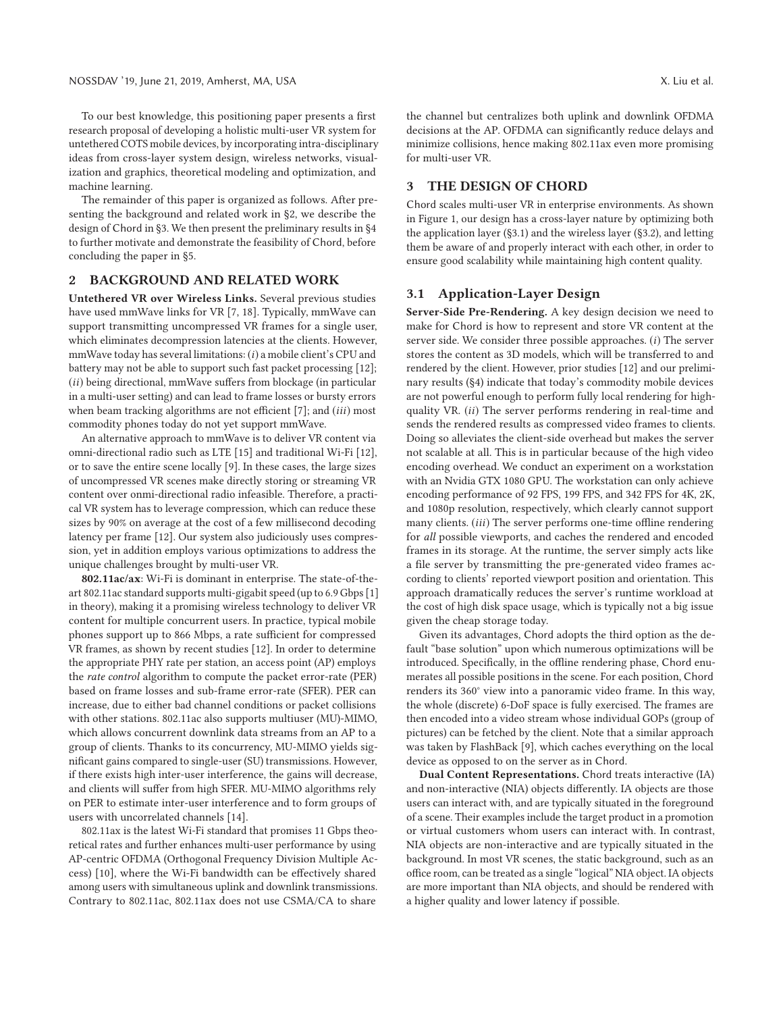To our best knowledge, this positioning paper presents a first research proposal of developing a holistic multi-user VR system for untethered COTS mobile devices, by incorporating intra-disciplinary ideas from cross-layer system design, wireless networks, visualization and graphics, theoretical modeling and optimization, and machine learning.

The remainder of this paper is organized as follows. After presenting the background and related work in §2, we describe the design of Chord in §3. We then present the preliminary results in §4 to further motivate and demonstrate the feasibility of Chord, before concluding the paper in §5.

# **2 BACKGROUND AND RELATED WORK**

**Untethered VR over Wireless Links.** Several previous studies have used mmWave links for VR [7, 18]. Typically, mmWave can support transmitting uncompressed VR frames for a single user, which eliminates decompression latencies at the clients. However, mmWave today has several limitations: (i) a mobile client's CPU and battery may not be able to support such fast packet processing [12]; (ii) being directional, mmWave suffers from blockage (in particular in a multi-user setting) and can lead to frame losses or bursty errors when beam tracking algorithms are not efficient [7]; and *(iii)* most commodity phones today do not yet support mmWave.

An alternative approach to mmWave is to deliver VR content via omni-directional radio such as LTE [15] and traditional Wi-Fi [12], or to save the entire scene locally [9]. In these cases, the large sizes of uncompressed VR scenes make directly storing or streaming VR content over onmi-directional radio infeasible. Therefore, a practical VR system has to leverage compression, which can reduce these sizes by 90% on average at the cost of a few millisecond decoding latency per frame [12]. Our system also judiciously uses compression, yet in addition employs various optimizations to address the unique challenges brought by multi-user VR.

**802.11ac/ax**: Wi-Fi is dominant in enterprise. The state-of-theart 802.11ac standard supports multi-gigabit speed (up to 6.9 Gbps [1] in theory), making it a promising wireless technology to deliver VR content for multiple concurrent users. In practice, typical mobile phones support up to 866 Mbps, a rate sufficient for compressed VR frames, as shown by recent studies [12]. In order to determine the appropriate PHY rate per station, an access point (AP) employs the *rate control* algorithm to compute the packet error-rate (PER) based on frame losses and sub-frame error-rate (SFER). PER can increase, due to either bad channel conditions or packet collisions with other stations. 802.11ac also supports multiuser (MU)-MIMO, which allows concurrent downlink data streams from an AP to a group of clients. Thanks to its concurrency, MU-MIMO yields significant gains compared to single-user (SU) transmissions. However, if there exists high inter-user interference, the gains will decrease, and clients will suffer from high SFER. MU-MIMO algorithms rely on PER to estimate inter-user interference and to form groups of users with uncorrelated channels [14].

802.11ax is the latest Wi-Fi standard that promises 11 Gbps theoretical rates and further enhances multi-user performance by using AP-centric OFDMA (Orthogonal Frequency Division Multiple Access) [10], where the Wi-Fi bandwidth can be effectively shared among users with simultaneous uplink and downlink transmissions. Contrary to 802.11ac, 802.11ax does not use CSMA/CA to share

the channel but centralizes both uplink and downlink OFDMA decisions at the AP. OFDMA can significantly reduce delays and minimize collisions, hence making 802.11ax even more promising for multi-user VR.

# **3 THE DESIGN OF CHORD**

Chord scales multi-user VR in enterprise environments. As shown in Figure 1, our design has a cross-layer nature by optimizing both the application layer (§3.1) and the wireless layer (§3.2), and letting them be aware of and properly interact with each other, in order to ensure good scalability while maintaining high content quality.

# **3.1 Application-Layer Design**

**Server-Side Pre-Rendering.** A key design decision we need to make for Chord is how to represent and store VR content at the server side. We consider three possible approaches. (i) The server stores the content as 3D models, which will be transferred to and rendered by the client. However, prior studies [12] and our preliminary results (§4) indicate that today's commodity mobile devices are not powerful enough to perform fully local rendering for highquality VR. (ii) The server performs rendering in real-time and sends the rendered results as compressed video frames to clients. Doing so alleviates the client-side overhead but makes the server not scalable at all. This is in particular because of the high video encoding overhead. We conduct an experiment on a workstation with an Nvidia GTX 1080 GPU. The workstation can only achieve encoding performance of 92 FPS, 199 FPS, and 342 FPS for 4K, 2K, and 1080p resolution, respectively, which clearly cannot support many clients. (iii) The server performs one-time offline rendering for *all* possible viewports, and caches the rendered and encoded frames in its storage. At the runtime, the server simply acts like a file server by transmitting the pre-generated video frames according to clients' reported viewport position and orientation. This approach dramatically reduces the server's runtime workload at the cost of high disk space usage, which is typically not a big issue given the cheap storage today.

Given its advantages, Chord adopts the third option as the default "base solution" upon which numerous optimizations will be introduced. Specifically, in the offline rendering phase, Chord enumerates all possible positions in the scene. For each position, Chord renders its 360° view into a panoramic video frame. In this way, the whole (discrete) 6-DoF space is fully exercised. The frames are then encoded into a video stream whose individual GOPs (group of pictures) can be fetched by the client. Note that a similar approach was taken by FlashBack [9], which caches everything on the local device as opposed to on the server as in Chord.

**Dual Content Representations.** Chord treats interactive (IA) and non-interactive (NIA) objects differently. IA objects are those users can interact with, and are typically situated in the foreground of a scene. Their examples include the target product in a promotion or virtual customers whom users can interact with. In contrast, NIA objects are non-interactive and are typically situated in the background. In most VR scenes, the static background, such as an office room, can be treated as a single "logical" NIA object. IA objects are more important than NIA objects, and should be rendered with a higher quality and lower latency if possible.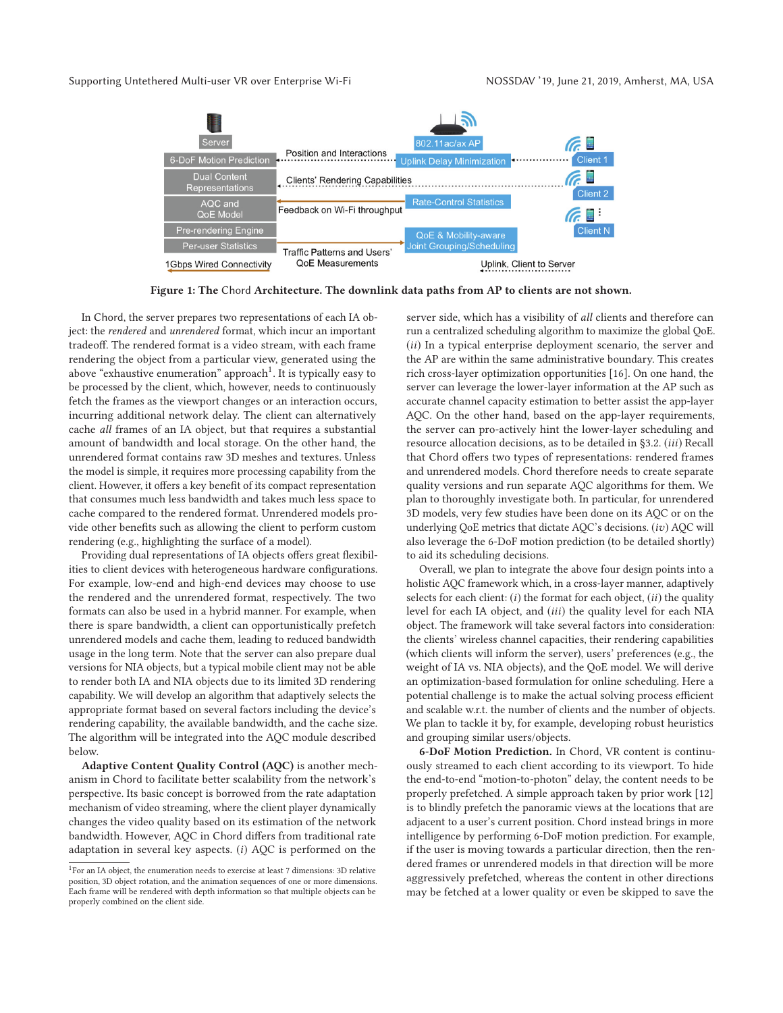Supporting Untethered Multi-user VR over Enterprise Wi-Fi Nossolay '19, June 21, 2019, Amherst, MA, USA



**Figure 1: The** Chord **Architecture. The downlink data paths from AP to clients are not shown.**

In Chord, the server prepares two representations of each IA object: the *rendered* and *unrendered* format, which incur an important tradeoff. The rendered format is a video stream, with each frame rendering the object from a particular view, generated using the above "exhaustive enumeration" approach<sup>1</sup>. It is typically easy to be processed by the client, which, however, needs to continuously fetch the frames as the viewport changes or an interaction occurs, incurring additional network delay. The client can alternatively cache *all* frames of an IA object, but that requires a substantial amount of bandwidth and local storage. On the other hand, the unrendered format contains raw 3D meshes and textures. Unless the model is simple, it requires more processing capability from the client. However, it offers a key benefit of its compact representation that consumes much less bandwidth and takes much less space to cache compared to the rendered format. Unrendered models provide other benefits such as allowing the client to perform custom rendering (e.g., highlighting the surface of a model).

Providing dual representations of IA objects offers great flexibilities to client devices with heterogeneous hardware configurations. For example, low-end and high-end devices may choose to use the rendered and the unrendered format, respectively. The two formats can also be used in a hybrid manner. For example, when there is spare bandwidth, a client can opportunistically prefetch unrendered models and cache them, leading to reduced bandwidth usage in the long term. Note that the server can also prepare dual versions for NIA objects, but a typical mobile client may not be able to render both IA and NIA objects due to its limited 3D rendering capability. We will develop an algorithm that adaptively selects the appropriate format based on several factors including the device's rendering capability, the available bandwidth, and the cache size. The algorithm will be integrated into the AQC module described below.

**Adaptive Content Quality Control (AQC)** is another mechanism in Chord to facilitate better scalability from the network's perspective. Its basic concept is borrowed from the rate adaptation mechanism of video streaming, where the client player dynamically changes the video quality based on its estimation of the network bandwidth. However, AQC in Chord differs from traditional rate adaptation in several key aspects. (i) AQC is performed on the

server side, which has a visibility of *all* clients and therefore can run a centralized scheduling algorithm to maximize the global QoE. (ii) In a typical enterprise deployment scenario, the server and the AP are within the same administrative boundary. This creates rich cross-layer optimization opportunities [16]. On one hand, the server can leverage the lower-layer information at the AP such as accurate channel capacity estimation to better assist the app-layer AQC. On the other hand, based on the app-layer requirements, the server can pro-actively hint the lower-layer scheduling and resource allocation decisions, as to be detailed in §3.2. (iii) Recall that Chord offers two types of representations: rendered frames and unrendered models. Chord therefore needs to create separate quality versions and run separate AQC algorithms for them. We plan to thoroughly investigate both. In particular, for unrendered 3D models, very few studies have been done on its AQC or on the underlying QoE metrics that dictate AQC's decisions. (iv) AQC will also leverage the 6-DoF motion prediction (to be detailed shortly) to aid its scheduling decisions.

Overall, we plan to integrate the above four design points into a holistic AQC framework which, in a cross-layer manner, adaptively selects for each client:  $(i)$  the format for each object,  $(ii)$  the quality level for each IA object, and (iii) the quality level for each NIA object. The framework will take several factors into consideration: the clients' wireless channel capacities, their rendering capabilities (which clients will inform the server), users' preferences (e.g., the weight of IA vs. NIA objects), and the QoE model. We will derive an optimization-based formulation for online scheduling. Here a potential challenge is to make the actual solving process efficient and scalable w.r.t. the number of clients and the number of objects. We plan to tackle it by, for example, developing robust heuristics and grouping similar users/objects.

**6-DoF Motion Prediction.** In Chord, VR content is continuously streamed to each client according to its viewport. To hide the end-to-end "motion-to-photon" delay, the content needs to be properly prefetched. A simple approach taken by prior work [12] is to blindly prefetch the panoramic views at the locations that are adjacent to a user's current position. Chord instead brings in more intelligence by performing 6-DoF motion prediction. For example, if the user is moving towards a particular direction, then the rendered frames or unrendered models in that direction will be more aggressively prefetched, whereas the content in other directions may be fetched at a lower quality or even be skipped to save the

 $^1\rm{For}$  an IA object, the enumeration needs to exercise at least 7 dimensions: 3D relative position, 3D object rotation, and the animation sequences of one or more dimensions. Each frame will be rendered with depth information so that multiple objects can be properly combined on the client side.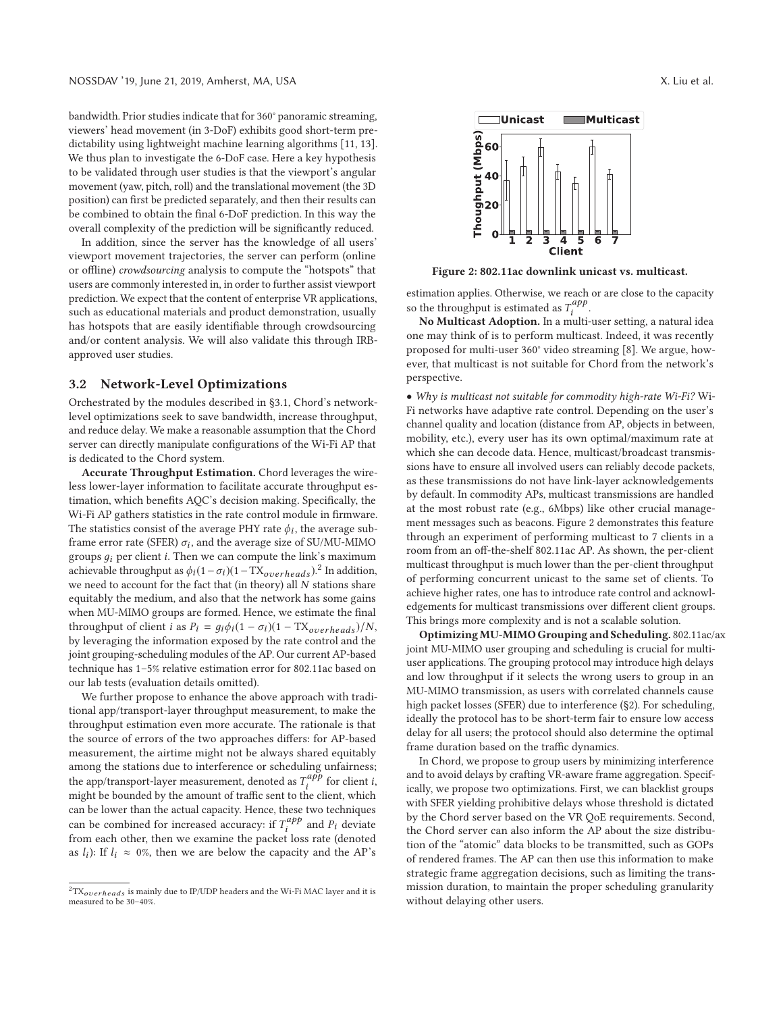bandwidth. Prior studies indicate that for 360° panoramic streaming, viewers' head movement (in 3-DoF) exhibits good short-term predictability using lightweight machine learning algorithms [11, 13]. We thus plan to investigate the 6-DoF case. Here a key hypothesis to be validated through user studies is that the viewport's angular movement (yaw, pitch, roll) and the translational movement (the 3D position) can first be predicted separately, and then their results can be combined to obtain the final 6-DoF prediction. In this way the overall complexity of the prediction will be significantly reduced.

In addition, since the server has the knowledge of all users' viewport movement trajectories, the server can perform (online or offline) *crowdsourcing* analysis to compute the "hotspots" that users are commonly interested in, in order to further assist viewport prediction. We expect that the content of enterprise VR applications, such as educational materials and product demonstration, usually has hotspots that are easily identifiable through crowdsourcing and/or content analysis. We will also validate this through IRBapproved user studies.

#### **3.2 Network-Level Optimizations**

Orchestrated by the modules described in §3.1, Chord's networklevel optimizations seek to save bandwidth, increase throughput, and reduce delay. We make a reasonable assumption that the Chord server can directly manipulate configurations of the Wi-Fi AP that is dedicated to the Chord system.

**Accurate Throughput Estimation.** Chord leverages the wireless lower-layer information to facilitate accurate throughput estimation, which benefits AQC's decision making. Specifically, the Wi-Fi AP gathers statistics in the rate control module in firmware. The statistics consist of the average PHY rate  $\phi_i$ , the average subframe error rate (SFER)  $\sigma_i$ , and the average size of SU/MU-MIMO groups  $q_i$  per client *i*. Then we can compute the link's maximum achievable throughput as  $\phi_i(1-\sigma_i)(1-TX_{overheads})$ .<sup>2</sup> In addition, we need to account for the fact that (in theory) all  $N$  stations share equitably the medium, and also that the network has some gains when MU-MIMO groups are formed. Hence, we estimate the final throughput of client i as  $P_i = g_i \phi_i (1 - \sigma_i) (1 - TX_{overheads})/N$ , by leveraging the information exposed by the rate control and the joint grouping-scheduling modules of the AP. Our current AP-based technique has 1–5% relative estimation error for 802.11ac based on our lab tests (evaluation details omitted).

We further propose to enhance the above approach with traditional app/transport-layer throughput measurement, to make the throughput estimation even more accurate. The rationale is that the source of errors of the two approaches differs: for AP-based measurement, the airtime might not be always shared equitably among the stations due to interference or scheduling unfairness; the app/transport-layer measurement, denoted as  $T_i^{app}$  for client *i*, might be bounded by the amount of traffic sent to the client, which can be lower than the actual capacity. Hence, these two techniques can be combined for increased accuracy: if  $T_i^{app}$  and  $P_i$  deviate from each other, then we examine the packet loss rate (denoted as  $l_i$ ): If  $l_i \approx 0\%$ , then we are below the capacity and the AP's



**Figure 2: 802.11ac downlink unicast vs. multicast.**

estimation applies. Otherwise, we reach or are close to the capacity so the throughput is estimated as  $T_i^{app}$ .

**No Multicast Adoption.** In a multi-user setting, a natural idea one may think of is to perform multicast. Indeed, it was recently proposed for multi-user 360° video streaming [8]. We argue, however, that multicast is not suitable for Chord from the network's perspective.

• *Why is multicast not suitable for commodity high-rate Wi-Fi?* Wi-Fi networks have adaptive rate control. Depending on the user's channel quality and location (distance from AP, objects in between, mobility, etc.), every user has its own optimal/maximum rate at which she can decode data. Hence, multicast/broadcast transmissions have to ensure all involved users can reliably decode packets, as these transmissions do not have link-layer acknowledgements by default. In commodity APs, multicast transmissions are handled at the most robust rate (e.g., 6Mbps) like other crucial management messages such as beacons. Figure 2 demonstrates this feature through an experiment of performing multicast to 7 clients in a room from an off-the-shelf 802.11ac AP. As shown, the per-client multicast throughput is much lower than the per-client throughput of performing concurrent unicast to the same set of clients. To achieve higher rates, one has to introduce rate control and acknowledgements for multicast transmissions over different client groups. This brings more complexity and is not a scalable solution.

**Optimizing MU-MIMO Grouping and Scheduling.** 802.11ac/ax joint MU-MIMO user grouping and scheduling is crucial for multiuser applications. The grouping protocol may introduce high delays and low throughput if it selects the wrong users to group in an MU-MIMO transmission, as users with correlated channels cause high packet losses (SFER) due to interference (§2). For scheduling, ideally the protocol has to be short-term fair to ensure low access delay for all users; the protocol should also determine the optimal frame duration based on the traffic dynamics.

In Chord, we propose to group users by minimizing interference and to avoid delays by crafting VR-aware frame aggregation. Specifically, we propose two optimizations. First, we can blacklist groups with SFER yielding prohibitive delays whose threshold is dictated by the Chord server based on the VR QoE requirements. Second, the Chord server can also inform the AP about the size distribution of the "atomic" data blocks to be transmitted, such as GOPs of rendered frames. The AP can then use this information to make strategic frame aggregation decisions, such as limiting the transmission duration, to maintain the proper scheduling granularity without delaying other users.

 ${}^{2}TX_{overheads}$  is mainly due to IP/UDP headers and the Wi-Fi MAC layer and it is measured to be 30–40%.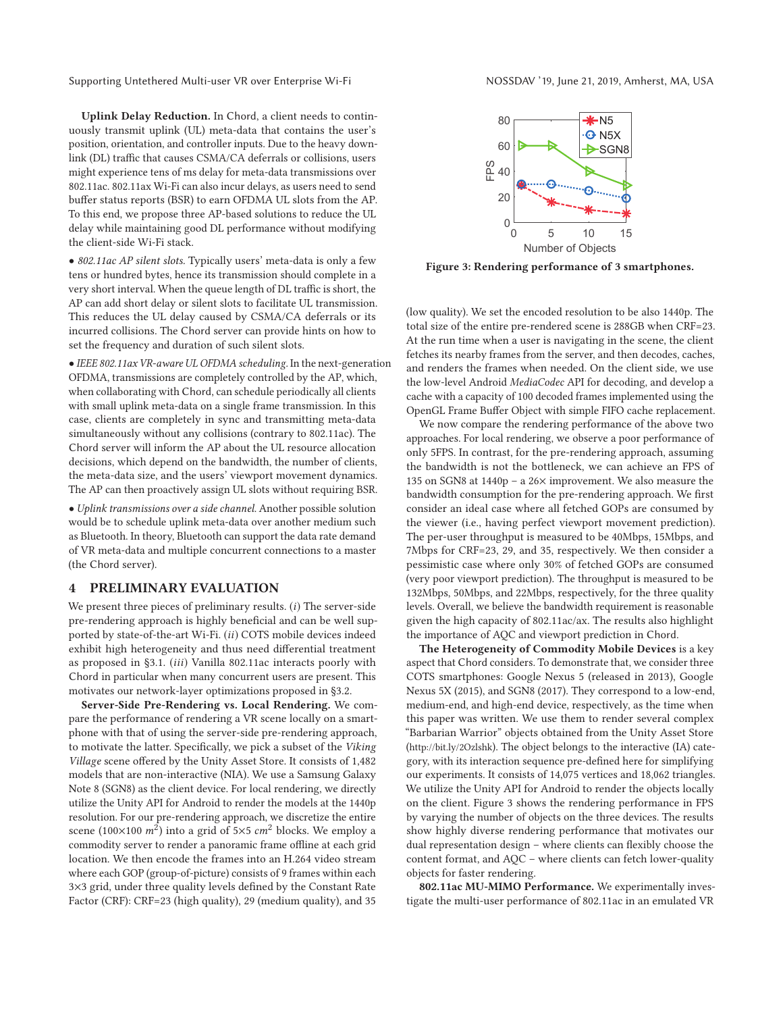Supporting Untethered Multi-user VR over Enterprise Wi-Fi Nossolay '19, June 21, 2019, Amherst, MA, USA

**Uplink Delay Reduction.** In Chord, a client needs to continuously transmit uplink (UL) meta-data that contains the user's position, orientation, and controller inputs. Due to the heavy downlink (DL) traffic that causes CSMA/CA deferrals or collisions, users might experience tens of ms delay for meta-data transmissions over 802.11ac. 802.11ax Wi-Fi can also incur delays, as users need to send buffer status reports (BSR) to earn OFDMA UL slots from the AP. To this end, we propose three AP-based solutions to reduce the UL delay while maintaining good DL performance without modifying the client-side Wi-Fi stack.

• *802.11ac AP silent slots.* Typically users' meta-data is only a few tens or hundred bytes, hence its transmission should complete in a very short interval. When the queue length of DL traffic is short, the AP can add short delay or silent slots to facilitate UL transmission. This reduces the UL delay caused by CSMA/CA deferrals or its incurred collisions. The Chord server can provide hints on how to set the frequency and duration of such silent slots.

• *IEEE 802.11ax VR-aware UL OFDMA scheduling.* In the next-generation OFDMA, transmissions are completely controlled by the AP, which, when collaborating with Chord, can schedule periodically all clients with small uplink meta-data on a single frame transmission. In this case, clients are completely in sync and transmitting meta-data simultaneously without any collisions (contrary to 802.11ac). The Chord server will inform the AP about the UL resource allocation decisions, which depend on the bandwidth, the number of clients, the meta-data size, and the users' viewport movement dynamics. The AP can then proactively assign UL slots without requiring BSR.

• *Uplink transmissions over a side channel.* Another possible solution would be to schedule uplink meta-data over another medium such as Bluetooth. In theory, Bluetooth can support the data rate demand of VR meta-data and multiple concurrent connections to a master (the Chord server).

#### **4 PRELIMINARY EVALUATION**

We present three pieces of preliminary results. (i) The server-side pre-rendering approach is highly beneficial and can be well supported by state-of-the-art Wi-Fi. (ii) COTS mobile devices indeed exhibit high heterogeneity and thus need differential treatment as proposed in §3.1. (iii) Vanilla 802.11ac interacts poorly with Chord in particular when many concurrent users are present. This motivates our network-layer optimizations proposed in §3.2.

**Server-Side Pre-Rendering vs. Local Rendering.** We compare the performance of rendering a VR scene locally on a smartphone with that of using the server-side pre-rendering approach, to motivate the latter. Specifically, we pick a subset of the *Viking Village* scene offered by the Unity Asset Store. It consists of 1,482 models that are non-interactive (NIA). We use a Samsung Galaxy Note 8 (SGN8) as the client device. For local rendering, we directly utilize the Unity API for Android to render the models at the 1440p resolution. For our pre-rendering approach, we discretize the entire scene (100×100  $m^2$ ) into a grid of 5×5  $cm^2$  blocks. We employ a commodity server to render a panoramic frame offline at each grid location. We then encode the frames into an H.264 video stream where each GOP (group-of-picture) consists of 9 frames within each 3×3 grid, under three quality levels defined by the Constant Rate Factor (CRF): CRF=23 (high quality), 29 (medium quality), and 35



**Figure 3: Rendering performance of 3 smartphones.**

(low quality). We set the encoded resolution to be also 1440p. The total size of the entire pre-rendered scene is 288GB when CRF=23. At the run time when a user is navigating in the scene, the client fetches its nearby frames from the server, and then decodes, caches, and renders the frames when needed. On the client side, we use the low-level Android *MediaCodec* API for decoding, and develop a cache with a capacity of 100 decoded frames implemented using the OpenGL Frame Buffer Object with simple FIFO cache replacement.

We now compare the rendering performance of the above two approaches. For local rendering, we observe a poor performance of only 5FPS. In contrast, for the pre-rendering approach, assuming the bandwidth is not the bottleneck, we can achieve an FPS of 135 on SGN8 at 1440p – a 26× improvement. We also measure the bandwidth consumption for the pre-rendering approach. We first consider an ideal case where all fetched GOPs are consumed by the viewer (i.e., having perfect viewport movement prediction). The per-user throughput is measured to be 40Mbps, 15Mbps, and 7Mbps for CRF=23, 29, and 35, respectively. We then consider a pessimistic case where only 30% of fetched GOPs are consumed (very poor viewport prediction). The throughput is measured to be 132Mbps, 50Mbps, and 22Mbps, respectively, for the three quality levels. Overall, we believe the bandwidth requirement is reasonable given the high capacity of 802.11ac/ax. The results also highlight the importance of AQC and viewport prediction in Chord.

**The Heterogeneity of Commodity Mobile Devices** is a key aspect that Chord considers. To demonstrate that, we consider three COTS smartphones: Google Nexus 5 (released in 2013), Google Nexus 5X (2015), and SGN8 (2017). They correspond to a low-end, medium-end, and high-end device, respectively, as the time when this paper was written. We use them to render several complex "Barbarian Warrior" objects obtained from the Unity Asset Store (http://bit.ly/2Ozlshk). The object belongs to the interactive (IA) category, with its interaction sequence pre-defined here for simplifying our experiments. It consists of 14,075 vertices and 18,062 triangles. We utilize the Unity API for Android to render the objects locally on the client. Figure 3 shows the rendering performance in FPS by varying the number of objects on the three devices. The results show highly diverse rendering performance that motivates our dual representation design – where clients can flexibly choose the content format, and AQC – where clients can fetch lower-quality objects for faster rendering.

**802.11ac MU-MIMO Performance.** We experimentally investigate the multi-user performance of 802.11ac in an emulated VR